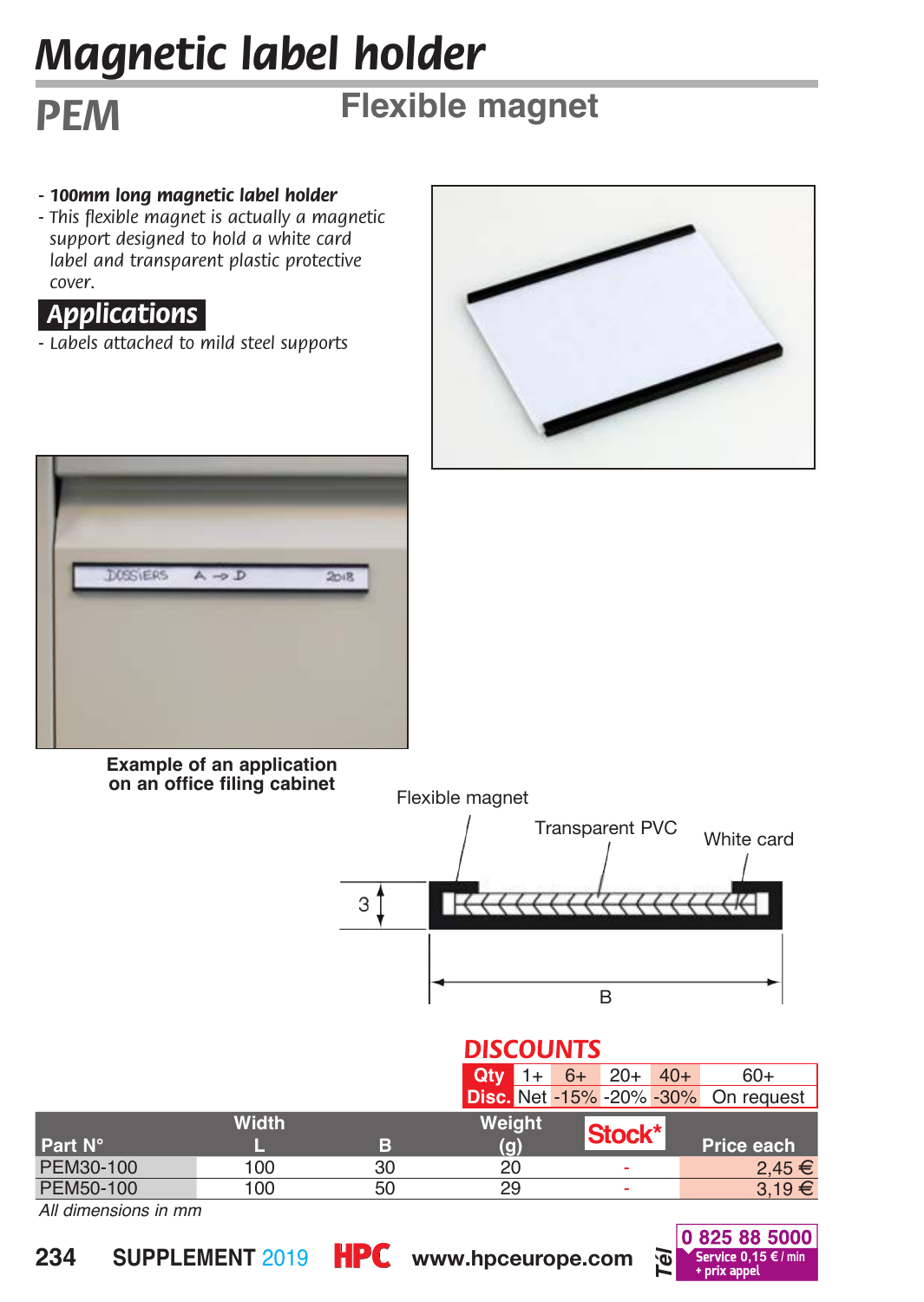# *Magnetic label holder*

# *PEM* **Flexible magnet**

- *100mm long magnetic label holder*
- *This flexible magnet is actually a magnetic support designed to hold a white card label and transparent plastic protective cover.*

### *Applications.*

*- Labels attached to mild steel supports*





#### **Example of an application on an office filing cabinet** Flexible magnet



### *DISCOUNTS*

|           |              |    | Qtv    | $1+ 6+ 20+ 40+$ |        | $60+$                                      |
|-----------|--------------|----|--------|-----------------|--------|--------------------------------------------|
|           |              |    |        |                 |        | <b>Disc.</b> Net -15% -20% -30% On request |
|           | <b>Width</b> |    | Weight |                 |        |                                            |
| Part N°   |              | в  | (g)    |                 | Stock* | Price each                                 |
| PEM30-100 | 100          | 30 | 20     |                 | ٠      | $2.45 \in$                                 |
| PEM50-100 | 100          | 50 | 29     |                 | ٠      | $3.19 \in$                                 |

*All dimensions in mm*